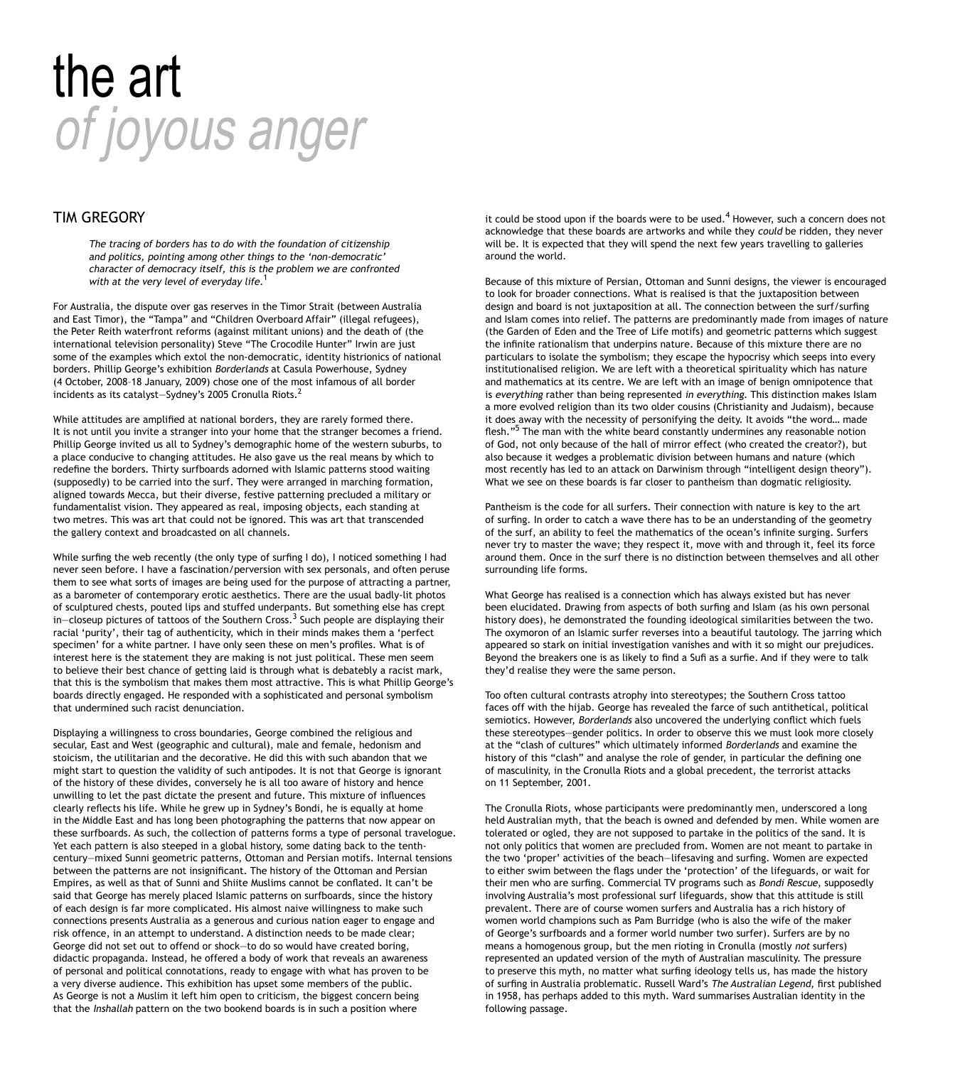## the art of joyous anger

## TIM GREGORY

The tracing of borders has to do with the foundation of citizenship and politics, pointing among other things to the 'non-democratic' character of democracy itself, this is the problem we are confronted with at the very level of everyday life.<sup>1</sup>

For Australia, the dispute over gas reserves in the Timor Strait (between Australia and East Timor), the "Tampa" and "Children Overboard Affair" (illegal refugees), the Peter Reith waterfront reforms (against militant unions) and the death of (the international television personality) Steve "The Crocodile Hunter" Irwin are just some of the examples which extol the non-democratic, identity histrionics of national borders. Phillip George's exhibition Borderlands at Casula Powerhouse, Sydney (4 October, 2008–18 January, 2009) chose one of the most infamous of all border incidents as its catalyst-Sydney's 2005 Cronulla Riots.<sup>2</sup>

While attitudes are amplified at national borders, they are rarely formed there. It is not until you invite a stranger into your home that the stranger becomes a friend. Phillip George invited us all to Sydney's demographic home of the western suburbs, to a place conducive to changing attitudes. He also gave us the real means by which to redefine the borders. Thirty surfboards adorned with Islamic patterns stood waiting (supposedly) to be carried into the surf. They were arranged in marching formation, aligned towards Mecca, but their diverse, festive patterning precluded a military or fundamentalist vision. They appeared as real, imposing objects, each standing at two metres. This was art that could not be ignored. This was art that transcended the gallery context and broadcasted on all channels.

While surfing the web recently (the only type of surfing I do), I noticed something I had never seen before. I have a fascination/perversion with sex personals, and often peruse them to see what sorts of images are being used for the purpose of attracting a partner, as a barometer of contemporary erotic aesthetics. There are the usual badly-lit photos of sculptured chests, pouted lips and stuffed underpants. But something else has crept in—closeup pictures of tattoos of the Southern Cross.<sup>3</sup> Such people are displaying their racial 'purity', their tag of authenticity, which in their minds makes them a 'perfect specimen' for a white partner. I have only seen these on men's profiles. What is of interest here is the statement they are making is not just political. These men seem to believe their best chance of getting laid is through what is debatebly a racist mark, that this is the symbolism that makes them most attractive. This is what Phillip George's boards directly engaged. He responded with a sophisticated and personal symbolism that undermined such racist denunciation.

Displaying a willingness to cross boundaries, George combined the religious and secular, East and West (geographic and cultural), male and female, hedonism and stoicism, the utilitarian and the decorative. He did this with such abandon that we might start to question the validity of such antipodes. It is not that George is ignorant of the history of these divides, conversely he is all too aware of history and hence unwilling to let the past dictate the present and future. This mixture of influences clearly reflects his life. While he grew up in Sydney's Bondi, he is equally at home in the Middle East and has long been photographing the patterns that now appear on these surfboards. As such, the collection of patterns forms a type of personal travelogue. Yet each pattern is also steeped in a global history, some dating back to the tenthcentury—mixed Sunni geometric patterns, Ottoman and Persian motifs. Internal tensions between the patterns are not insignificant. The history of the Ottoman and Persian Empires, as well as that of Sunni and Shiite Muslims cannot be conflated. It can't be said that George has merely placed Islamic patterns on surfboards, since the history of each design is far more complicated. His almost naive willingness to make such connections presents Australia as a generous and curious nation eager to engage and risk offence, in an attempt to understand. A distinction needs to be made clear; George did not set out to offend or shock—to do so would have created boring, didactic propaganda. Instead, he offered a body of work that reveals an awareness of personal and political connotations, ready to engage with what has proven to be a very diverse audience. This exhibition has upset some members of the public. As George is not a Muslim it left him open to criticism, the biggest concern being that the Inshallah pattern on the two bookend boards is in such a position where

it could be stood upon if the boards were to be used. $<sup>4</sup>$  However, such a concern does not</sup> acknowledge that these boards are artworks and while they could be ridden, they never will be. It is expected that they will spend the next few years travelling to galleries around the world.

Because of this mixture of Persian, Ottoman and Sunni designs, the viewer is encouraged to look for broader connections. What is realised is that the juxtaposition between design and board is not juxtaposition at all. The connection between the surf/surfing and Islam comes into relief. The patterns are predominantly made from images of nature (the Garden of Eden and the Tree of Life motifs) and geometric patterns which suggest the infinite rationalism that underpins nature. Because of this mixture there are no particulars to isolate the symbolism; they escape the hypocrisy which seeps into every institutionalised religion. We are left with a theoretical spirituality which has nature and mathematics at its centre. We are left with an image of benign omnipotence that is everything rather than being represented in everything. This distinction makes Islam a more evolved religion than its two older cousins (Christianity and Judaism), because it does away with the necessity of personifying the deity. It avoids "the word… made flesh."<sup>5</sup> The man with the white beard constantly undermines any reasonable notion of God, not only because of the hall of mirror effect (who created the creator?), but also because it wedges a problematic division between humans and nature (which most recently has led to an attack on Darwinism through "intelligent design theory"). What we see on these boards is far closer to pantheism than dogmatic religiosity.

Pantheism is the code for all surfers. Their connection with nature is key to the art of surfing. In order to catch a wave there has to be an understanding of the geometry of the surf, an ability to feel the mathematics of the ocean's infinite surging. Surfers never try to master the wave; they respect it, move with and through it, feel its force around them. Once in the surf there is no distinction between themselves and all other surrounding life forms.

What George has realised is a connection which has always existed but has never been elucidated. Drawing from aspects of both surfing and Islam (as his own personal history does), he demonstrated the founding ideological similarities between the two. The oxymoron of an Islamic surfer reverses into a beautiful tautology. The jarring which appeared so stark on initial investigation vanishes and with it so might our prejudices. Beyond the breakers one is as likely to find a Sufi as a surfie. And if they were to talk they'd realise they were the same person.

Too often cultural contrasts atrophy into stereotypes; the Southern Cross tattoo faces off with the hijab. George has revealed the farce of such antithetical, political semiotics. However, Borderlands also uncovered the underlying conflict which fuels these stereotypes—gender politics. In order to observe this we must look more closely at the "clash of cultures" which ultimately informed Borderlands and examine the history of this "clash" and analyse the role of gender, in particular the defining one of masculinity, in the Cronulla Riots and a global precedent, the terrorist attacks on 11 September, 2001.

The Cronulla Riots, whose participants were predominantly men, underscored a long held Australian myth, that the beach is owned and defended by men. While women are tolerated or ogled, they are not supposed to partake in the politics of the sand. It is not only politics that women are precluded from. Women are not meant to partake in the two 'proper' activities of the beach—lifesaving and surfing. Women are expected to either swim between the flags under the 'protection' of the lifeguards, or wait for their men who are surfing. Commercial TV programs such as Bondi Rescue, supposedly involving Australia's most professional surf lifeguards, show that this attitude is still prevalent. There are of course women surfers and Australia has a rich history of women world champions such as Pam Burridge (who is also the wife of the maker of George's surfboards and a former world number two surfer). Surfers are by no means a homogenous group, but the men rioting in Cronulla (mostly not surfers) represented an updated version of the myth of Australian masculinity. The pressure to preserve this myth, no matter what surfing ideology tells us, has made the history of surfing in Australia problematic. Russell Ward's The Australian Legend, first published in 1958, has perhaps added to this myth. Ward summarises Australian identity in the following passage.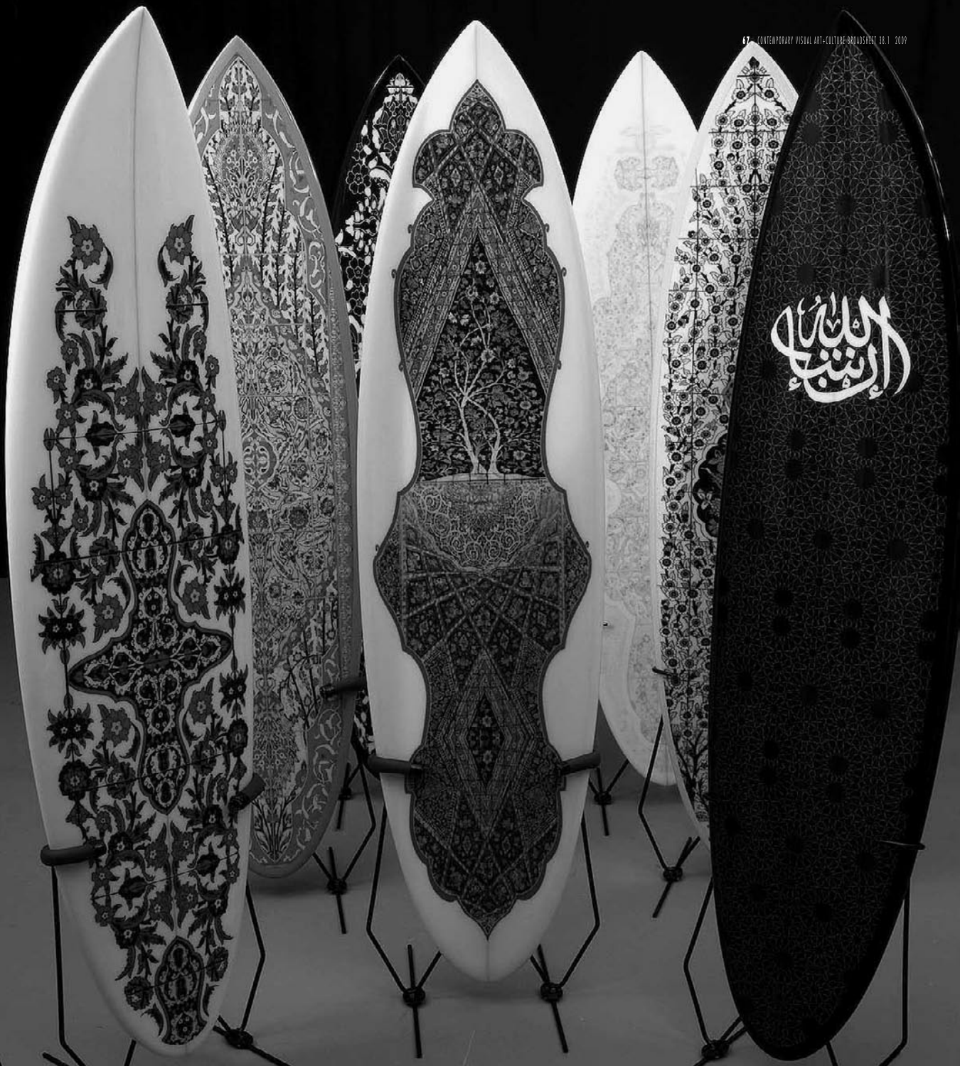